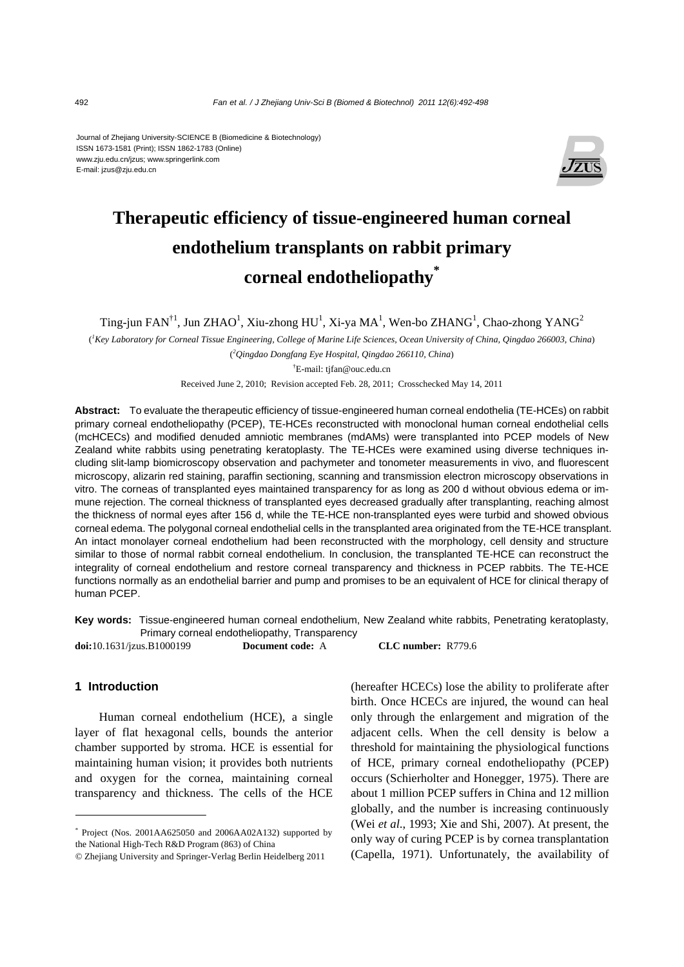#### Journal of Zhejiang University-SCIENCE B (Biomedicine & Biotechnology) ISSN 1673-1581 (Print); ISSN 1862-1783 (Online) www.zju.edu.cn/jzus; www.springerlink.com E-mail: jzus@zju.edu.cn



# **Therapeutic efficiency of tissue-engineered human corneal endothelium transplants on rabbit primary corneal endotheliopathy\***

Ting-jun FAN<sup>†1</sup>, Jun ZHAO<sup>1</sup>, Xiu-zhong HU<sup>1</sup>, Xi-ya MA<sup>1</sup>, Wen-bo ZHANG<sup>1</sup>, Chao-zhong YANG<sup>2</sup>

( *1 Key Laboratory for Corneal Tissue Engineering, College of Marine Life Sciences, Ocean University of China, Qingdao 266003, China*) ( *2 Qingdao Dongfang Eye Hospital, Qingdao 266110, China*)

† E-mail: tjfan@ouc.edu.cn

Received June 2, 2010; Revision accepted Feb. 28, 2011; Crosschecked May 14, 2011

**Abstract:** To evaluate the therapeutic efficiency of tissue-engineered human corneal endothelia (TE-HCEs) on rabbit primary corneal endotheliopathy (PCEP), TE-HCEs reconstructed with monoclonal human corneal endothelial cells (mcHCECs) and modified denuded amniotic membranes (mdAMs) were transplanted into PCEP models of New Zealand white rabbits using penetrating keratoplasty. The TE-HCEs were examined using diverse techniques including slit-lamp biomicroscopy observation and pachymeter and tonometer measurements in vivo, and fluorescent microscopy, alizarin red staining, paraffin sectioning, scanning and transmission electron microscopy observations in vitro. The corneas of transplanted eyes maintained transparency for as long as 200 d without obvious edema or immune rejection. The corneal thickness of transplanted eyes decreased gradually after transplanting, reaching almost the thickness of normal eyes after 156 d, while the TE-HCE non-transplanted eyes were turbid and showed obvious corneal edema. The polygonal corneal endothelial cells in the transplanted area originated from the TE-HCE transplant. An intact monolayer corneal endothelium had been reconstructed with the morphology, cell density and structure similar to those of normal rabbit corneal endothelium. In conclusion, the transplanted TE-HCE can reconstruct the integrality of corneal endothelium and restore corneal transparency and thickness in PCEP rabbits. The TE-HCE functions normally as an endothelial barrier and pump and promises to be an equivalent of HCE for clinical therapy of human PCEP.

**Key words:** Tissue-engineered human corneal endothelium, New Zealand white rabbits, Penetrating keratoplasty, Primary corneal endotheliopathy, Transparency

**doi:**10.1631/jzus.B1000199 **Document code:** A **CLC number:** R779.6

## **1 Introduction**

Human corneal endothelium (HCE), a single layer of flat hexagonal cells, bounds the anterior chamber supported by stroma. HCE is essential for maintaining human vision; it provides both nutrients and oxygen for the cornea, maintaining corneal transparency and thickness. The cells of the HCE (hereafter HCECs) lose the ability to proliferate after birth. Once HCECs are injured, the wound can heal only through the enlargement and migration of the adjacent cells. When the cell density is below a threshold for maintaining the physiological functions of HCE, primary corneal endotheliopathy (PCEP) occurs (Schierholter and Honegger, 1975). There are about 1 million PCEP suffers in China and 12 million globally, and the number is increasing continuously (Wei *et al*., 1993; Xie and Shi, 2007). At present, the only way of curing PCEP is by cornea transplantation (Capella, 1971). Unfortunately, the availability of

<sup>\*</sup> Project (Nos. 2001AA625050 and 2006AA02A132) supported by the National High-Tech R&D Program (863) of China

<sup>©</sup> Zhejiang University and Springer-Verlag Berlin Heidelberg 2011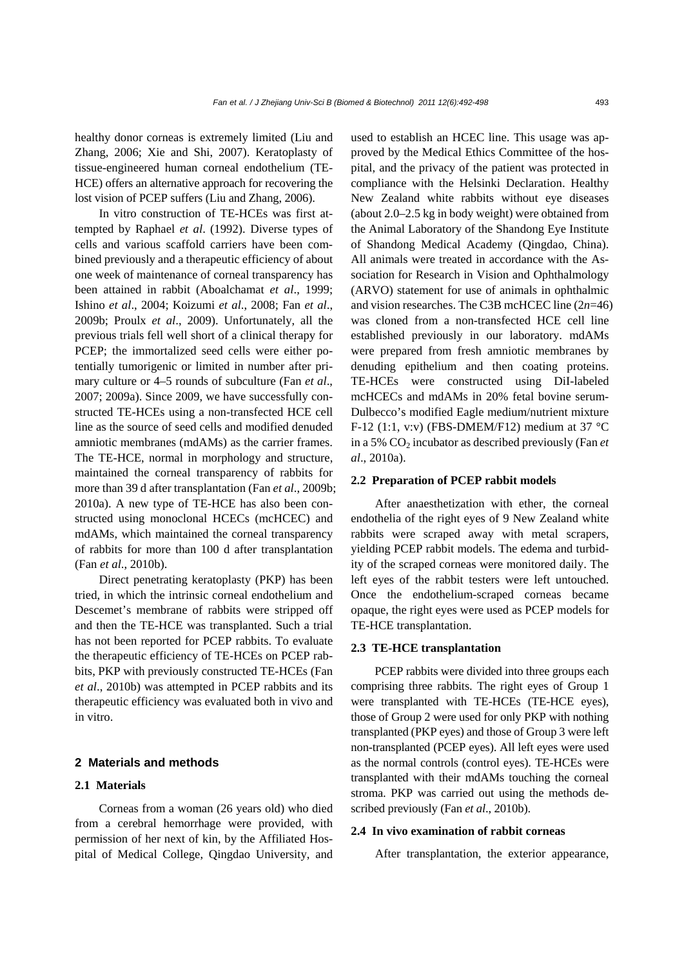healthy donor corneas is extremely limited (Liu and Zhang, 2006; Xie and Shi, 2007). Keratoplasty of tissue-engineered human corneal endothelium (TE-HCE) offers an alternative approach for recovering the lost vision of PCEP suffers (Liu and Zhang, 2006).

In vitro construction of TE-HCEs was first attempted by Raphael *et al*. (1992). Diverse types of cells and various scaffold carriers have been combined previously and a therapeutic efficiency of about one week of maintenance of corneal transparency has been attained in rabbit (Aboalchamat *et al*., 1999; Ishino *et al*., 2004; Koizumi *et al*., 2008; Fan *et al*., 2009b; Proulx *et al*., 2009). Unfortunately, all the previous trials fell well short of a clinical therapy for PCEP; the immortalized seed cells were either potentially tumorigenic or limited in number after primary culture or 4–5 rounds of subculture (Fan *et al*., 2007; 2009a). Since 2009, we have successfully constructed TE-HCEs using a non-transfected HCE cell line as the source of seed cells and modified denuded amniotic membranes (mdAMs) as the carrier frames. The TE-HCE, normal in morphology and structure, maintained the corneal transparency of rabbits for more than 39 d after transplantation (Fan *et al*., 2009b; 2010a). A new type of TE-HCE has also been constructed using monoclonal HCECs (mcHCEC) and mdAMs, which maintained the corneal transparency of rabbits for more than 100 d after transplantation (Fan *et al*., 2010b).

Direct penetrating keratoplasty (PKP) has been tried, in which the intrinsic corneal endothelium and Descemet's membrane of rabbits were stripped off and then the TE-HCE was transplanted. Such a trial has not been reported for PCEP rabbits. To evaluate the therapeutic efficiency of TE-HCEs on PCEP rabbits, PKP with previously constructed TE-HCEs (Fan *et al*., 2010b) was attempted in PCEP rabbits and its therapeutic efficiency was evaluated both in vivo and in vitro.

# **2 Materials and methods**

#### **2.1 Materials**

Corneas from a woman (26 years old) who died from a cerebral hemorrhage were provided, with permission of her next of kin, by the Affiliated Hospital of Medical College, Qingdao University, and used to establish an HCEC line. This usage was approved by the Medical Ethics Committee of the hospital, and the privacy of the patient was protected in compliance with the Helsinki Declaration. Healthy New Zealand white rabbits without eye diseases (about 2.0–2.5 kg in body weight) were obtained from the Animal Laboratory of the Shandong Eye Institute of Shandong Medical Academy (Qingdao, China). All animals were treated in accordance with the Association for Research in Vision and Ophthalmology (ARVO) statement for use of animals in ophthalmic and vision researches. The C3B mcHCEC line (2*n*=46) was cloned from a non-transfected HCE cell line established previously in our laboratory. mdAMs were prepared from fresh amniotic membranes by denuding epithelium and then coating proteins. TE-HCEs were constructed using DiI-labeled mcHCECs and mdAMs in 20% fetal bovine serum-Dulbecco's modified Eagle medium/nutrient mixture F-12 (1:1, v:v) (FBS-DMEM/F12) medium at 37  $^{\circ}$ C in a 5% CO2 incubator as described previously (Fan *et al*., 2010a).

#### **2.2 Preparation of PCEP rabbit models**

After anaesthetization with ether, the corneal endothelia of the right eyes of 9 New Zealand white rabbits were scraped away with metal scrapers, yielding PCEP rabbit models. The edema and turbidity of the scraped corneas were monitored daily. The left eyes of the rabbit testers were left untouched. Once the endothelium-scraped corneas became opaque, the right eyes were used as PCEP models for TE-HCE transplantation.

## **2.3 TE-HCE transplantation**

PCEP rabbits were divided into three groups each comprising three rabbits. The right eyes of Group 1 were transplanted with TE-HCEs (TE-HCE eyes), those of Group 2 were used for only PKP with nothing transplanted (PKP eyes) and those of Group 3 were left non-transplanted (PCEP eyes). All left eyes were used as the normal controls (control eyes). TE-HCEs were transplanted with their mdAMs touching the corneal stroma. PKP was carried out using the methods described previously (Fan *et al*., 2010b).

#### **2.4 In vivo examination of rabbit corneas**

After transplantation, the exterior appearance,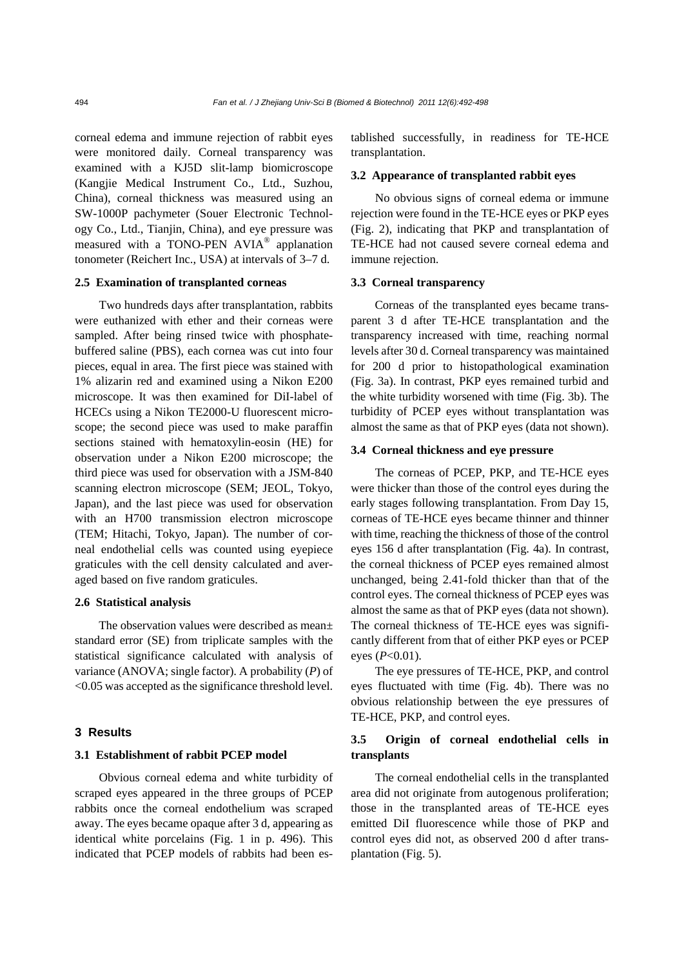corneal edema and immune rejection of rabbit eyes were monitored daily. Corneal transparency was examined with a KJ5D slit-lamp biomicroscope (Kangjie Medical Instrument Co., Ltd., Suzhou, China), corneal thickness was measured using an SW-1000P pachymeter (Souer Electronic Technology Co., Ltd., Tianjin, China), and eye pressure was measured with a TONO-PEN AVIA® applanation tonometer (Reichert Inc., USA) at intervals of 3–7 d.

## **2.5 Examination of transplanted corneas**

Two hundreds days after transplantation, rabbits were euthanized with ether and their corneas were sampled. After being rinsed twice with phosphatebuffered saline (PBS), each cornea was cut into four pieces, equal in area. The first piece was stained with 1% alizarin red and examined using a Nikon E200 microscope. It was then examined for DiI-label of HCECs using a Nikon TE2000-U fluorescent microscope; the second piece was used to make paraffin sections stained with hematoxylin-eosin (HE) for observation under a Nikon E200 microscope; the third piece was used for observation with a JSM-840 scanning electron microscope (SEM; JEOL, Tokyo, Japan), and the last piece was used for observation with an H700 transmission electron microscope (TEM; Hitachi, Tokyo, Japan). The number of corneal endothelial cells was counted using eyepiece graticules with the cell density calculated and averaged based on five random graticules.

## **2.6 Statistical analysis**

The observation values were described as mean± standard error (SE) from triplicate samples with the statistical significance calculated with analysis of variance (ANOVA; single factor). A probability (*P*) of <0.05 was accepted as the significance threshold level.

## **3 Results**

## **3.1 Establishment of rabbit PCEP model**

Obvious corneal edema and white turbidity of scraped eyes appeared in the three groups of PCEP rabbits once the corneal endothelium was scraped away. The eyes became opaque after 3 d, appearing as identical white porcelains (Fig. 1 in p. 496). This indicated that PCEP models of rabbits had been established successfully, in readiness for TE-HCE transplantation.

#### **3.2 Appearance of transplanted rabbit eyes**

No obvious signs of corneal edema or immune rejection were found in the TE-HCE eyes or PKP eyes (Fig. 2), indicating that PKP and transplantation of TE-HCE had not caused severe corneal edema and immune rejection.

# **3.3 Corneal transparency**

Corneas of the transplanted eyes became transparent 3 d after TE-HCE transplantation and the transparency increased with time, reaching normal levels after 30 d. Corneal transparency was maintained for 200 d prior to histopathological examination (Fig. 3a). In contrast, PKP eyes remained turbid and the white turbidity worsened with time (Fig. 3b). The turbidity of PCEP eyes without transplantation was almost the same as that of PKP eyes (data not shown).

# **3.4 Corneal thickness and eye pressure**

The corneas of PCEP, PKP, and TE-HCE eyes were thicker than those of the control eyes during the early stages following transplantation. From Day 15, corneas of TE-HCE eyes became thinner and thinner with time, reaching the thickness of those of the control eyes 156 d after transplantation (Fig. 4a). In contrast, the corneal thickness of PCEP eyes remained almost unchanged, being 2.41-fold thicker than that of the control eyes. The corneal thickness of PCEP eyes was almost the same as that of PKP eyes (data not shown). The corneal thickness of TE-HCE eyes was significantly different from that of either PKP eyes or PCEP eyes (*P*<0.01).

The eye pressures of TE-HCE, PKP, and control eyes fluctuated with time (Fig. 4b). There was no obvious relationship between the eye pressures of TE-HCE, PKP, and control eyes.

# **3.5 Origin of corneal endothelial cells in transplants**

The corneal endothelial cells in the transplanted area did not originate from autogenous proliferation; those in the transplanted areas of TE-HCE eyes emitted DiI fluorescence while those of PKP and control eyes did not, as observed 200 d after transplantation (Fig. 5).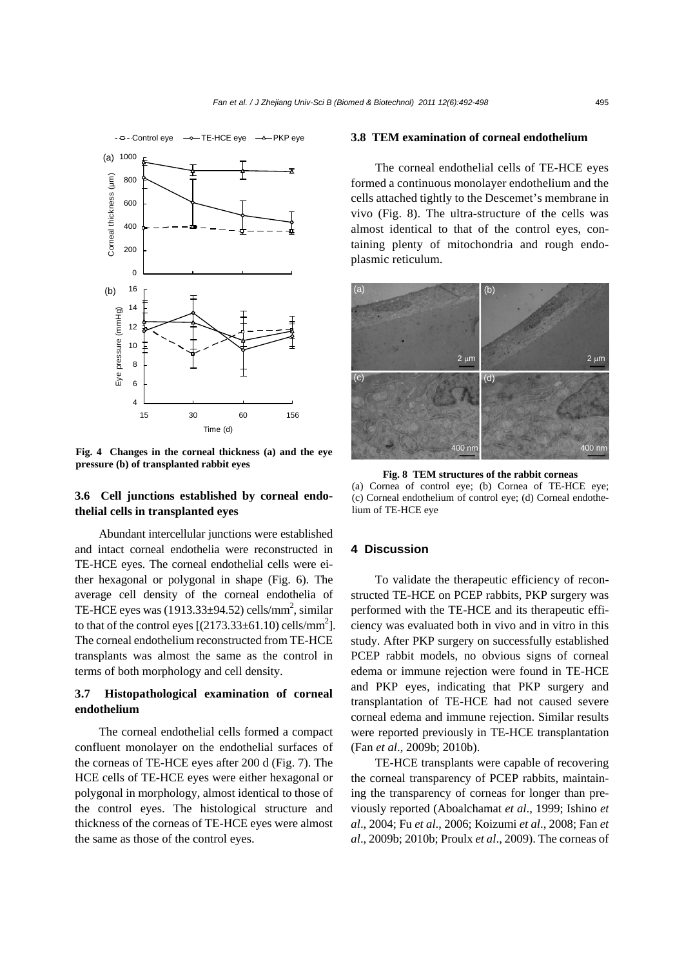

**Fig. 4 Changes in the corneal thickness (a) and the eye pressure (b) of transplanted rabbit eyes** 

# **3.6 Cell junctions established by corneal endothelial cells in transplanted eyes**

Abundant intercellular junctions were established and intact corneal endothelia were reconstructed in TE-HCE eyes. The corneal endothelial cells were either hexagonal or polygonal in shape (Fig. 6). The average cell density of the corneal endothelia of TE-HCE eyes was  $(1913.33\pm94.52)$  cells/mm<sup>2</sup>, similar to that of the control eyes  $[(2173.33 \pm 61.10)$  cells/mm<sup>2</sup>]. The corneal endothelium reconstructed from TE-HCE transplants was almost the same as the control in terms of both morphology and cell density.

# **3.7 Histopathological examination of corneal endothelium**

The corneal endothelial cells formed a compact confluent monolayer on the endothelial surfaces of the corneas of TE-HCE eyes after 200 d (Fig. 7). The HCE cells of TE-HCE eyes were either hexagonal or polygonal in morphology, almost identical to those of the control eyes. The histological structure and thickness of the corneas of TE-HCE eyes were almost the same as those of the control eyes.

# **3.8 TEM examination of corneal endothelium**

The corneal endothelial cells of TE-HCE eyes formed a continuous monolayer endothelium and the cells attached tightly to the Descemet's membrane in vivo (Fig. 8). The ultra-structure of the cells was almost identical to that of the control eyes, containing plenty of mitochondria and rough endoplasmic reticulum.



#### **Fig. 8 TEM structures of the rabbit corneas**

(a) Cornea of control eye; (b) Cornea of TE-HCE eye; (c) Corneal endothelium of control eye; (d) Corneal endothelium of TE-HCE eye

## **4 Discussion**

To validate the therapeutic efficiency of reconstructed TE-HCE on PCEP rabbits, PKP surgery was performed with the TE-HCE and its therapeutic efficiency was evaluated both in vivo and in vitro in this study. After PKP surgery on successfully established PCEP rabbit models, no obvious signs of corneal edema or immune rejection were found in TE-HCE and PKP eyes, indicating that PKP surgery and transplantation of TE-HCE had not caused severe corneal edema and immune rejection. Similar results were reported previously in TE-HCE transplantation (Fan *et al*., 2009b; 2010b).

TE-HCE transplants were capable of recovering the corneal transparency of PCEP rabbits, maintaining the transparency of corneas for longer than previously reported (Aboalchamat *et al*., 1999; Ishino *et al*., 2004; Fu *et al*., 2006; Koizumi *et al*., 2008; Fan *et al*., 2009b; 2010b; Proulx *et al*., 2009). The corneas of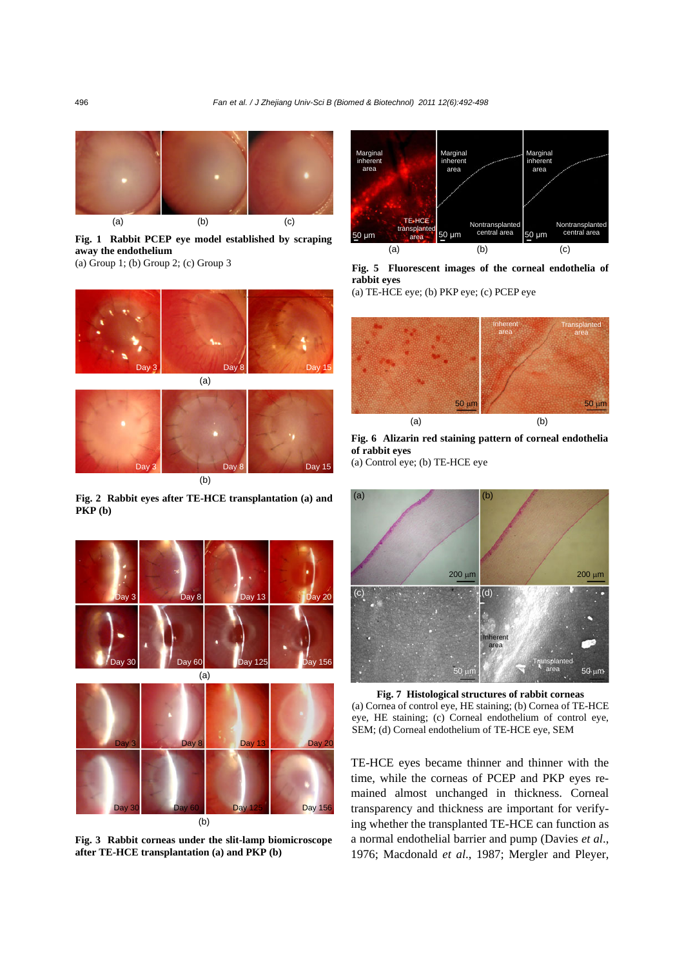

**Fig. 1 Rabbit PCEP eye model established by scraping away the endothelium**  (a) Group 1; (b) Group 2; (c) Group 3



(b)

**Fig. 2 Rabbit eyes after TE-HCE transplantation (a) and PKP (b)**



**Fig. 3 Rabbit corneas under the slit-lamp biomicroscope after TE-HCE transplantation (a) and PKP (b)**



**Fig. 5 Fluorescent images of the corneal endothelia of rabbit eyes** 

(a) TE-HCE eye; (b) PKP eye; (c) PCEP eye



# **Fig. 6 Alizarin red staining pattern of corneal endothelia of rabbit eyes**

(a) Control eye; (b) TE-HCE eye



**Fig. 7 Histological structures of rabbit corneas**  (a) Cornea of control eye, HE staining; (b) Cornea of TE-HCE eye, HE staining; (c) Corneal endothelium of control eye, SEM; (d) Corneal endothelium of TE-HCE eye, SEM

TE-HCE eyes became thinner and thinner with the time, while the corneas of PCEP and PKP eyes remained almost unchanged in thickness. Corneal transparency and thickness are important for verifying whether the transplanted TE-HCE can function as a normal endothelial barrier and pump (Davies *et al*., 1976; Macdonald *et al*., 1987; Mergler and Pleyer,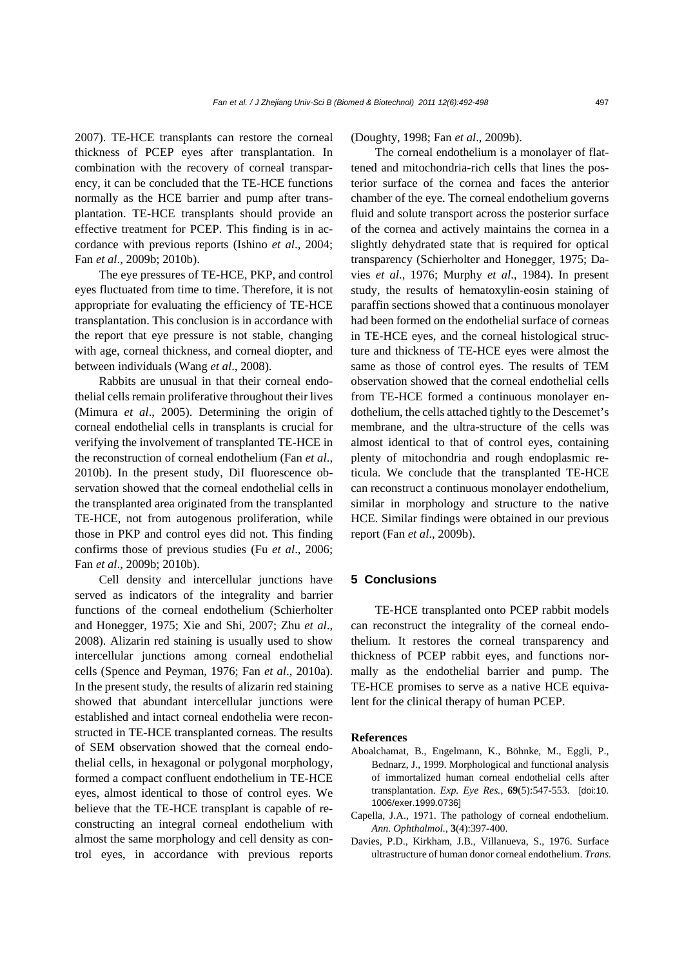2007). TE-HCE transplants can restore the corneal thickness of PCEP eyes after transplantation. In combination with the recovery of corneal transparency, it can be concluded that the TE-HCE functions normally as the HCE barrier and pump after transplantation. TE-HCE transplants should provide an effective treatment for PCEP. This finding is in accordance with previous reports (Ishino *et al*., 2004; Fan *et al*., 2009b; 2010b).

The eye pressures of TE-HCE, PKP, and control eyes fluctuated from time to time. Therefore, it is not appropriate for evaluating the efficiency of TE-HCE transplantation. This conclusion is in accordance with the report that eye pressure is not stable, changing with age, corneal thickness, and corneal diopter, and between individuals (Wang *et al*., 2008).

Rabbits are unusual in that their corneal endothelial cells remain proliferative throughout their lives (Mimura *et al*., 2005). Determining the origin of corneal endothelial cells in transplants is crucial for verifying the involvement of transplanted TE-HCE in the reconstruction of corneal endothelium (Fan *et al*., 2010b). In the present study, DiI fluorescence observation showed that the corneal endothelial cells in the transplanted area originated from the transplanted TE-HCE, not from autogenous proliferation, while those in PKP and control eyes did not. This finding confirms those of previous studies (Fu *et al*., 2006; Fan *et al*., 2009b; 2010b).

Cell density and intercellular junctions have served as indicators of the integrality and barrier functions of the corneal endothelium (Schierholter and Honegger, 1975; Xie and Shi, 2007; Zhu *et al*., 2008). Alizarin red staining is usually used to show intercellular junctions among corneal endothelial cells (Spence and Peyman, 1976; Fan *et al*., 2010a). In the present study, the results of alizarin red staining showed that abundant intercellular junctions were established and intact corneal endothelia were reconstructed in TE-HCE transplanted corneas. The results of SEM observation showed that the corneal endothelial cells, in hexagonal or polygonal morphology, formed a compact confluent endothelium in TE-HCE eyes, almost identical to those of control eyes. We believe that the TE-HCE transplant is capable of reconstructing an integral corneal endothelium with almost the same morphology and cell density as control eyes, in accordance with previous reports

(Doughty, 1998; Fan *et al*., 2009b).

The corneal endothelium is a monolayer of flattened and mitochondria-rich cells that lines the posterior surface of the cornea and faces the anterior chamber of the eye. The corneal endothelium governs fluid and solute transport across the posterior surface of the cornea and actively maintains the cornea in a slightly dehydrated state that is required for optical transparency (Schierholter and Honegger, 1975; Davies *et al*., 1976; Murphy *et al*., 1984). In present study, the results of hematoxylin-eosin staining of paraffin sections showed that a continuous monolayer had been formed on the endothelial surface of corneas in TE-HCE eyes, and the corneal histological structure and thickness of TE-HCE eyes were almost the same as those of control eyes. The results of TEM observation showed that the corneal endothelial cells from TE-HCE formed a continuous monolayer endothelium, the cells attached tightly to the Descemet's membrane, and the ultra-structure of the cells was almost identical to that of control eyes, containing plenty of mitochondria and rough endoplasmic reticula. We conclude that the transplanted TE-HCE can reconstruct a continuous monolayer endothelium, similar in morphology and structure to the native HCE. Similar findings were obtained in our previous report (Fan *et al*., 2009b).

#### **5 Conclusions**

TE-HCE transplanted onto PCEP rabbit models can reconstruct the integrality of the corneal endothelium. It restores the corneal transparency and thickness of PCEP rabbit eyes, and functions normally as the endothelial barrier and pump. The TE-HCE promises to serve as a native HCE equivalent for the clinical therapy of human PCEP.

#### **References**

- Aboalchamat, B., Engelmann, K., Böhnke, M., Eggli, P., Bednarz, J., 1999. Morphological and functional analysis of immortalized human corneal endothelial cells after transplantation. *Exp. Eye Res.*, **69**(5):547-553. [doi:10. 1006/exer.1999.0736]
- Capella, J.A., 1971. The pathology of corneal endothelium. *Ann. Ophthalmol.*, **3**(4):397-400.
- Davies, P.D., Kirkham, J.B., Villanueva, S., 1976. Surface ultrastructure of human donor corneal endothelium. *Trans.*